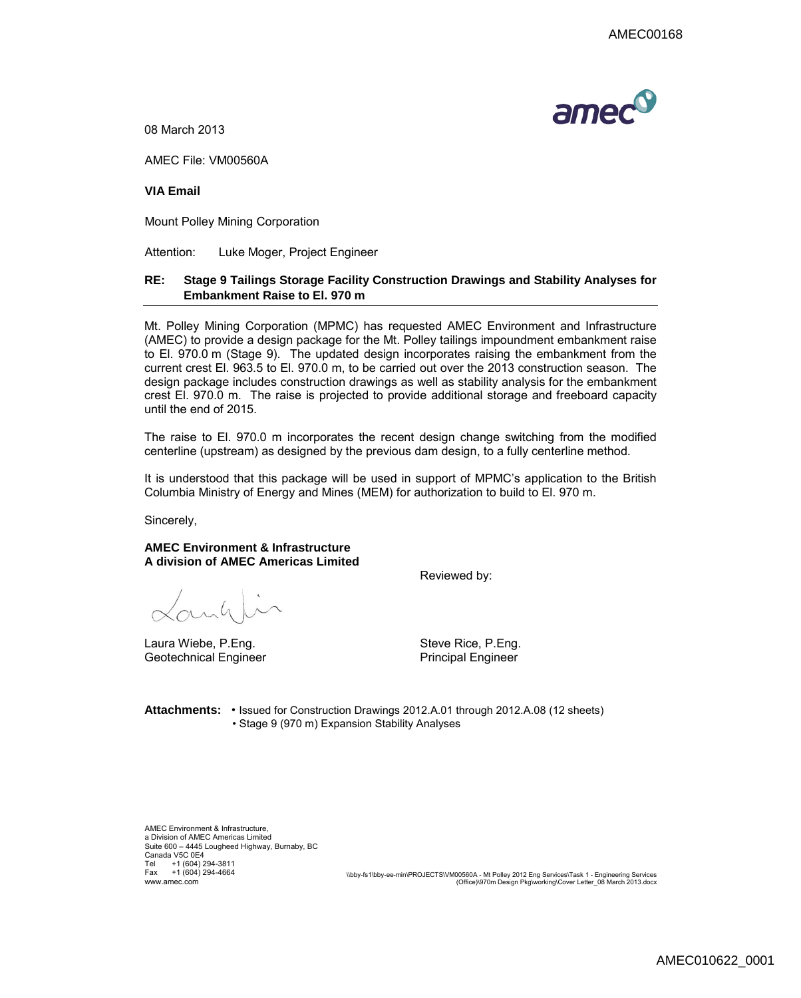

08 March 2013

AMEC File: VM00560A

**VIA Email**

Mount Polley Mining Corporation

Attention: Luke Moger, Project Engineer

## **RE: Stage 9 Tailings Storage Facility Construction Drawings and Stability Analyses for Embankment Raise to El. 970 m**

Mt. Polley Mining Corporation (MPMC) has requested AMEC Environment and Infrastructure (AMEC) to provide a design package for the Mt. Polley tailings impoundment embankment raise to El. 970.0 m (Stage 9). The updated design incorporates raising the embankment from the current crest El. 963.5 to El. 970.0 m, to be carried out over the 2013 construction season. The design package includes construction drawings as well as stability analysis for the embankment crest El. 970.0 m. The raise is projected to provide additional storage and freeboard capacity until the end of 2015.

The raise to El. 970.0 m incorporates the recent design change switching from the modified centerline (upstream) as designed by the previous dam design, to a fully centerline method.

It is understood that this package will be used in support of MPMC's application to the British Columbia Ministry of Energy and Mines (MEM) for authorization to build to El. 970 m.

Sincerely,

**AMEC Environment & Infrastructure A division of AMEC Americas Limited**

Reviewed by:

 $\alpha$ nh

Laura Wiebe, P.Eng. Steve Rice, P.Eng. Geotechnical Engineer **Principal Engineer** Principal Engineer

**Attachments:** • Issued for Construction Drawings 2012.A.01 through 2012.A.08 (12 sheets) • Stage 9 (970 m) Expansion Stability Analyses

AMEC Environment & Infrastructure, a Division of AMEC Americas Limited Suite 600 – 4445 Lougheed Highway, Burnaby, BC Canada V5C 0E4 Tel +1 (604) 294-3811 Fax +1 (604) 294-4664

www.amec.com \\bby-fs1\bby-ee-min\PROJECTS\VM00560A - Mt Polley 2012 Eng Services\Task 1 - Engineering Services (Office)\970m Design Pkg\working\Cover Letter\_08 March 2013.docx